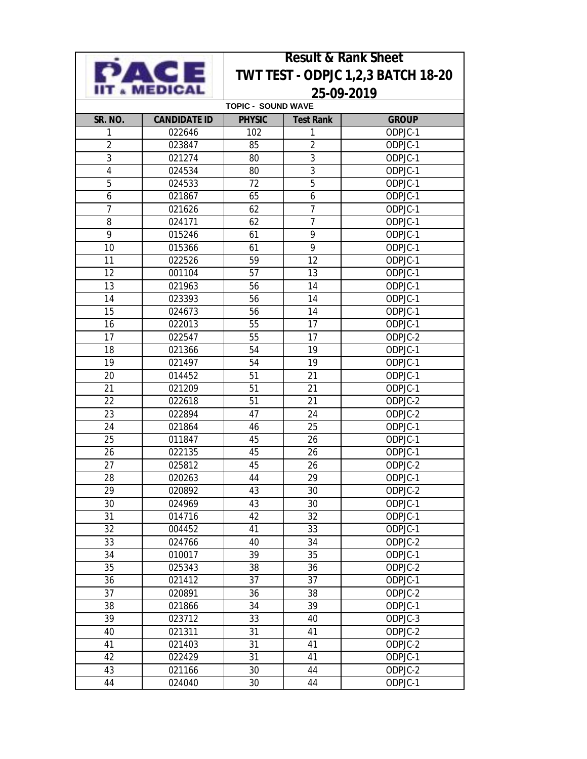|                           |                            | <b>Result &amp; Rank Sheet</b> |                                    |                       |  |  |  |  |
|---------------------------|----------------------------|--------------------------------|------------------------------------|-----------------------|--|--|--|--|
|                           | $\left  \bullet \right $ = |                                | TWT TEST - ODPJC 1,2,3 BATCH 18-20 |                       |  |  |  |  |
|                           | <b>MEDICAL</b>             | 25-09-2019                     |                                    |                       |  |  |  |  |
| <b>TOPIC - SOUND WAVE</b> |                            |                                |                                    |                       |  |  |  |  |
| SR. NO.                   | <b>CANDIDATE ID</b>        | <b>PHYSIC</b>                  | <b>Test Rank</b>                   | <b>GROUP</b>          |  |  |  |  |
| 1                         | 022646                     | 102                            | 1                                  | ODPJC-1               |  |  |  |  |
| $\overline{2}$            | 023847                     | 85                             | $\overline{2}$                     | ODPJC-1               |  |  |  |  |
| $\overline{3}$            | 021274                     | 80                             | $\overline{3}$                     | ODPJC-1               |  |  |  |  |
| $\overline{4}$            | 024534                     | 80                             | 3                                  | ODPJC-1               |  |  |  |  |
| 5                         | 024533                     | 72                             | 5                                  | ODPJC-1               |  |  |  |  |
| 6                         | 021867                     | 65                             | 6                                  | $ODPJC-1$             |  |  |  |  |
| $\overline{1}$            | 021626                     | 62                             | $\overline{7}$                     | ODPJC-1               |  |  |  |  |
| 8                         | 024171                     | 62                             | $\overline{7}$                     | ODPJC-1               |  |  |  |  |
| 9                         | 015246                     | 61                             | 9                                  | ODPJC-1               |  |  |  |  |
| 10                        | 015366                     | 61                             | 9                                  | ODPJC-1               |  |  |  |  |
| 11                        | 022526                     | 59                             | 12                                 | ODPJC-1               |  |  |  |  |
| 12                        | 001104                     | 57                             | 13                                 | ODPJC-1               |  |  |  |  |
| 13                        | 021963                     | 56                             | 14                                 | ODPJC-1               |  |  |  |  |
| 14                        | 023393                     | 56                             | 14                                 | ODPJC-1               |  |  |  |  |
| 15                        | 024673                     | 56                             | 14                                 | ODPJC-1               |  |  |  |  |
| 16                        | 022013                     | 55                             | 17                                 | ODPJC-1               |  |  |  |  |
| 17                        | 022547                     | 55                             | 17                                 | ODPJC-2               |  |  |  |  |
| 18                        | 021366                     | 54                             | 19                                 | ODPJC-1               |  |  |  |  |
| 19                        | 021497                     | 54                             | 19                                 | ODPJC- $\overline{1}$ |  |  |  |  |
| 20                        | 014452                     | 51                             | 21                                 | ODPJC-1               |  |  |  |  |
| 21                        | 021209                     | 51                             | 21                                 | ODPJC-1               |  |  |  |  |
| 22                        | 022618                     | 51                             | 21                                 | ODPJC-2               |  |  |  |  |
| 23                        | 022894                     | 47                             | 24                                 | ODPJC-2               |  |  |  |  |
| 24                        | 021864                     | 46                             | 25                                 | $ODPJC-1$             |  |  |  |  |
| 25                        | 011847                     | 45                             | 26                                 | ODPJC-1               |  |  |  |  |
| 26                        | 022135                     | 45                             | 26                                 | ODPJC-1               |  |  |  |  |
| 27                        | 025812                     | 45                             | 26                                 | ODPJC-2               |  |  |  |  |
| 28                        | 020263                     | 44                             | 29                                 | ODPJC-1               |  |  |  |  |
| 29                        | 020892                     | 43                             | $30\,$                             | ODPJC-2               |  |  |  |  |
| 30                        | 024969                     | 43                             | 30                                 | ODPJC-1               |  |  |  |  |
| 31                        | 014716                     | 42                             | 32                                 | ODPJC-1               |  |  |  |  |
| 32                        | 004452                     | 41                             | 33                                 | ODPJC- $\overline{1}$ |  |  |  |  |
| 33                        | 024766                     | 40                             | 34                                 | ODPJC-2               |  |  |  |  |
| 34                        | 010017                     | 39                             | 35                                 | ODPJC-1               |  |  |  |  |
| 35                        | 025343                     | 38                             | 36                                 | ODPJC-2               |  |  |  |  |
| 36                        | 021412                     | 37                             | 37                                 | ODPJC-1               |  |  |  |  |
| 37                        | 020891                     | 36                             | 38                                 | ODPJC-2               |  |  |  |  |
| 38                        | 021866                     | 34                             | 39                                 | ODPJC-1               |  |  |  |  |
| 39                        | 023712                     | 33                             | 40                                 | ODPJC-3               |  |  |  |  |
| 40                        | 021311                     | 31                             | 41                                 | ODPJC-2               |  |  |  |  |
| 41                        | 021403                     | 31                             | 41                                 | ODPJC-2               |  |  |  |  |

41 021403 31 41 ODPJC-2<br>42 022429 31 41 ODPJC-1

43 021166 30 44 ODPJC-2<br>44 024040 30 44 ODPJC-1

022429 31 41 ODPJC-1<br>021166 30 44 ODPJC-2

ODPJC-1